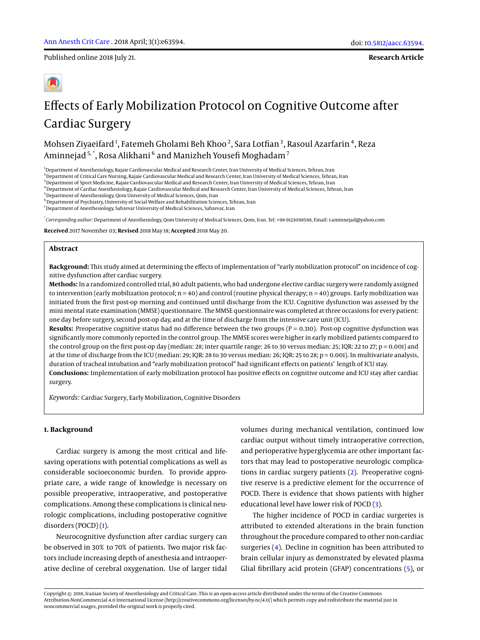Published online 2018 July 21.

**Research Article**

# Effects of Early Mobilization Protocol on Cognitive Outcome after Cardiac Surgery

Mohsen Ziyaeifard $^1$ , Fatemeh Gholami Beh Khoo $^2$ , Sara Lotfian $^3$ , Rasoul Azarfarin $^4$ , Reza Aminnejad <sup>5, \*</sup>, Rosa Alikhani <sup>6</sup> and Manizheh Yousefi Moghadam <sup>7</sup>

<sup>1</sup> Department of Anesthesiology, Rajaie Cardiovascular Medical and Research Center, Iran University of Medical Sciences, Tehran, Iran

<sup>2</sup> Department of Critical Care Nursing, Rajaie Cardiovascular Medical and Research Center, Iran University of Medical Sciences, Tehran, Iran

<sup>3</sup> Department of Sport Medicine, Rajaie Cardiovascular Medical and Research Center, Iran University of Medical Sciences, Tehran, Iran

<sup>4</sup>Department of Cardiac Anesthesiology, Rajaie Cardiovascular Medical and Research Center, Iran University of Medical Sciences, Tehran, Iran

<sup>5</sup> Department of Anesthesiology, Qom University of Medical Sciences, Qom, Iran

<sup>6</sup> Department of Psychiatry, University of Social Welfare and Rehabilitation Sciences, Tehran, Iran

 $^7$ Department of Anesthesiology, Sabzevar University of Medical Sciences, Sabzevar, Iran

\* *Corresponding author*: Department of Anesthesiology, Qom University of Medical Sciences, Qom, Iran. Tel: +98-9123098598, Email: r.aminnejad@yahoo.com

**Received** 2017 November 03; **Revised** 2018 May 18; **Accepted** 2018 May 20.

## **Abstract**

**Background:** This study aimed at determining the effects of implementation of "early mobilization protocol" on incidence of cognitive dysfunction after cardiac surgery.

**Methods:** In a randomized controlled trial, 80 adult patients, who had undergone elective cardiac surgery were randomly assigned to intervention (early mobilization protocol;  $n = 40$ ) and control (routine physical therapy;  $n = 40$ ) groups. Early mobilization was initiated from the first post-op morning and continued until discharge from the ICU. Cognitive dysfunction was assessed by the mini mental state examination (MMSE) questionnaire. The MMSE questionnaire was completed at three occasions for every patient: one day before surgery, second post-op day, and at the time of discharge from the intensive care unit (ICU).

**Results:** Preoperative cognitive status had no difference between the two groups (P = 0.310). Post-op cognitive dysfunction was significantly more commonly reported in the control group. The MMSE scores were higher in early mobilized patients compared to the control group on the first post-op day (median: 28; inter quartile range: 26 to 30 versus median: 25; IQR: 22 to 27; p = 0.001) and at the time of discharge from the ICU (median: 29; IQR: 28 to 30 versus median: 26; IQR: 25 to 28; p = 0.001). In multivariate analysis, duration of tracheal intubation and "early mobilization protocol" had significant effects on patients' length of ICU stay. **Conclusions:** Implementation of early mobilization protocol has positive effects on cognitive outcome and ICU stay after cardiac surgery.

*Keywords:* Cardiac Surgery, Early Mobilization, Cognitive Disorders

## **1. Background**

Cardiac surgery is among the most critical and lifesaving operations with potential complications as well as considerable socioeconomic burden. To provide appropriate care, a wide range of knowledge is necessary on possible preoperative, intraoperative, and postoperative complications. Among these complications is clinical neurologic complications, including postoperative cognitive disorders (POCD) [\(1\)](#page-7-0).

Neurocognitive dysfunction after cardiac surgery can be observed in 30% to 70% of patients. Two major risk factors include increasing depth of anesthesia and intraoperative decline of cerebral oxygenation. Use of larger tidal volumes during mechanical ventilation, continued low cardiac output without timely intraoperative correction, and perioperative hyperglycemia are other important factors that may lead to postoperative neurologic complications in cardiac surgery patients [\(2\)](#page-7-1). Preoperative cognitive reserve is a predictive element for the occurrence of POCD. There is evidence that shows patients with higher educational level have lower risk of POCD [\(3\)](#page-7-2).

The higher incidence of POCD in cardiac surgeries is attributed to extended alterations in the brain function throughout the procedure compared to other non-cardiac surgeries [\(4\)](#page-7-3). Decline in cognition has been attributed to brain cellular injury as demonstrated by elevated plasma Glial fibrillary acid protein (GFAP) concentrations [\(5\)](#page-7-4), or

Copyright © 2018, Iranian Society of Anesthesiology and Critical Care. This is an open-access article distributed under the terms of the Creative Commons Attribution-NonCommercial 4.0 International License (http://creativecommons.org/licenses/by-nc/4.0/) which permits copy and redistribute the material just in noncommercial usages, provided the original work is properly cited.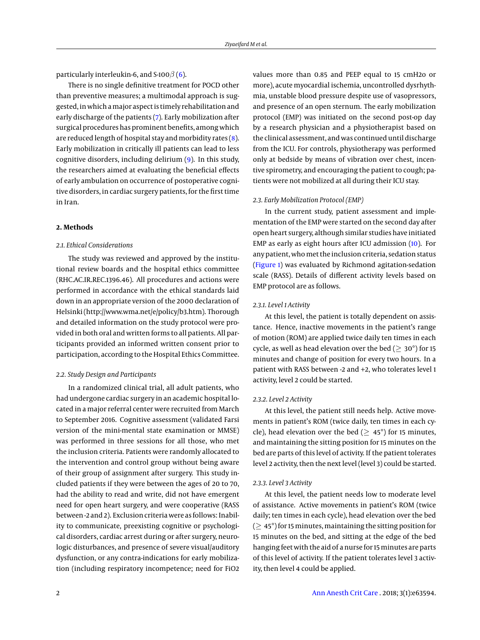particularly interleukin-6, and S-100 $\beta$  [\(6\)](#page-7-5).

There is no single definitive treatment for POCD other than preventive measures; a multimodal approach is suggested, in which a major aspect is timely rehabilitation and early discharge of the patients [\(7\)](#page-7-6). Early mobilization after surgical procedures has prominent benefits, among which are reduced length of hospital stay and morbidity rates  $(8)$ . Early mobilization in critically ill patients can lead to less cognitive disorders, including delirium [\(9\)](#page-7-8). In this study, the researchers aimed at evaluating the beneficial effects of early ambulation on occurrence of postoperative cognitive disorders, in cardiac surgery patients, for the first time in Iran.

#### **2. Methods**

#### *2.1. Ethical Considerations*

The study was reviewed and approved by the institutional review boards and the hospital ethics committee (RHC.AC.IR.REC.1396.46). All procedures and actions were performed in accordance with the ethical standards laid down in an appropriate version of the 2000 declaration of Helsinki (http://www.wma.net/e/policy/b3.htm). Thorough and detailed information on the study protocol were provided in both oral and written forms to all patients. All participants provided an informed written consent prior to participation, according to the Hospital Ethics Committee.

## *2.2. Study Design and Participants*

In a randomized clinical trial, all adult patients, who had undergone cardiac surgery in an academic hospital located in a major referral center were recruited from March to September 2016. Cognitive assessment (validated Farsi version of the mini-mental state examination or MMSE) was performed in three sessions for all those, who met the inclusion criteria. Patients were randomly allocated to the intervention and control group without being aware of their group of assignment after surgery. This study included patients if they were between the ages of 20 to 70, had the ability to read and write, did not have emergent need for open heart surgery, and were cooperative (RASS between -2 and 2). Exclusion criteria were as follows: Inability to communicate, preexisting cognitive or psychological disorders, cardiac arrest during or after surgery, neurologic disturbances, and presence of severe visual/auditory dysfunction, or any contra-indications for early mobilization (including respiratory incompetence; need for FiO2 values more than 0.85 and PEEP equal to 15 cmH2o or more), acute myocardial ischemia, uncontrolled dysrhythmia, unstable blood pressure despite use of vasopressors, and presence of an open sternum. The early mobilization protocol (EMP) was initiated on the second post-op day by a research physician and a physiotherapist based on the clinical assessment, and was continued until discharge from the ICU. For controls, physiotherapy was performed only at bedside by means of vibration over chest, incentive spirometry, and encouraging the patient to cough; patients were not mobilized at all during their ICU stay.

### *2.3. Early Mobilization Protocol (EMP)*

In the current study, patient assessment and implementation of the EMP were started on the second day after open heart surgery, although similar studies have initiated EMP as early as eight hours after ICU admission [\(10\)](#page-7-9). For any patient, who met the inclusion criteria, sedation status [\(Figure 1\)](#page-2-0) was evaluated by Richmond agitation-sedation scale (RASS). Details of different activity levels based on EMP protocol are as follows.

## *2.3.1. Level 1 Activity*

At this level, the patient is totally dependent on assistance. Hence, inactive movements in the patient's range of motion (ROM) are applied twice daily ten times in each cycle, as well as head elevation over the bed ( $\geq 30^{\circ}$ ) for 15 minutes and change of position for every two hours. In a patient with RASS between -2 and +2, who tolerates level 1 activity, level 2 could be started.

## *2.3.2. Level 2 Activity*

At this level, the patient still needs help. Active movements in patient's ROM (twice daily, ten times in each cycle), head elevation over the bed ( $\geq 45^{\circ}$ ) for 15 minutes, and maintaining the sitting position for 15 minutes on the bed are parts of this level of activity. If the patient tolerates level 2 activity, then the next level (level 3) could be started.

#### *2.3.3. Level 3 Activity*

At this level, the patient needs low to moderate level of assistance. Active movements in patient's ROM (twice daily; ten times in each cycle), head elevation over the bed  $($   $\geq$  45 $^{\circ}$ ) for 15 minutes, maintaining the sitting position for 15 minutes on the bed, and sitting at the edge of the bed hanging feet with the aid of a nurse for 15 minutes are parts of this level of activity. If the patient tolerates level 3 activity, then level 4 could be applied.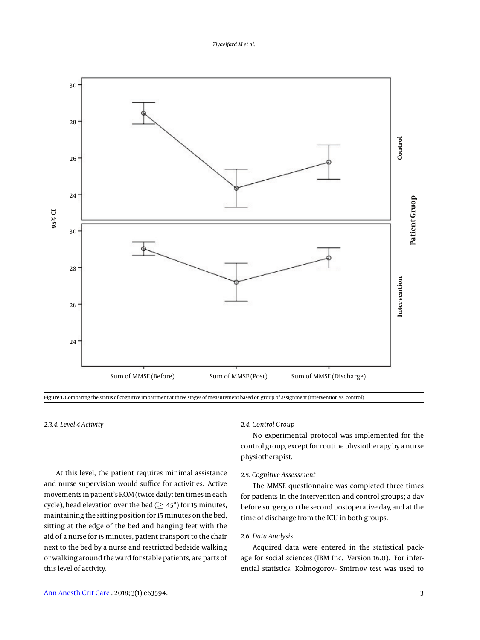<span id="page-2-0"></span>

**Figure 1.** Comparing the status of cognitive impairment at three stages of measurement based on group of assignment (intervention vs. control)

*2.3.4. Level 4 Activity*

At this level, the patient requires minimal assistance and nurse supervision would suffice for activities. Active movements in patient's ROM (twice daily; ten times in each cycle), head elevation over the bed ( $\geq 45^{\circ}$ ) for 15 minutes, maintaining the sitting position for 15 minutes on the bed, sitting at the edge of the bed and hanging feet with the aid of a nurse for 15 minutes, patient transport to the chair next to the bed by a nurse and restricted bedside walking or walking around the ward for stable patients, are parts of this level of activity.

# *2.4. Control Group*

No experimental protocol was implemented for the control group, except for routine physiotherapy by a nurse physiotherapist.

## *2.5. Cognitive Assessment*

The MMSE questionnaire was completed three times for patients in the intervention and control groups; a day before surgery, on the second postoperative day, and at the time of discharge from the ICU in both groups.

# *2.6. Data Analysis*

Acquired data were entered in the statistical package for social sciences (IBM Inc. Version 16.0). For inferential statistics, Kolmogorov– Smirnov test was used to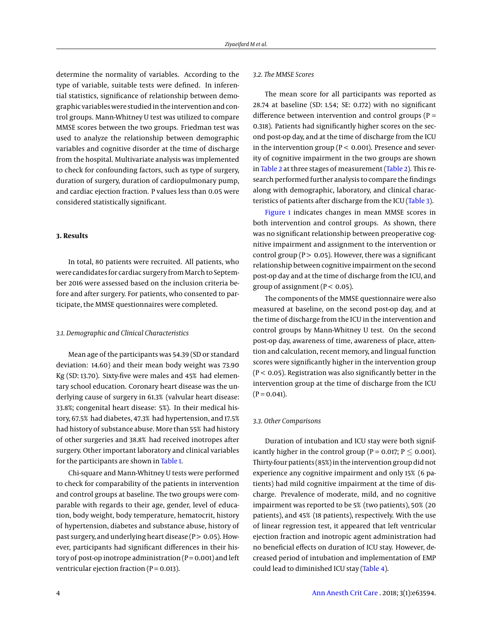determine the normality of variables. According to the type of variable, suitable tests were defined. In inferential statistics, significance of relationship between demographic variables were studied in the intervention and control groups. Mann-Whitney U test was utilized to compare MMSE scores between the two groups. Friedman test was used to analyze the relationship between demographic variables and cognitive disorder at the time of discharge from the hospital. Multivariate analysis was implemented to check for confounding factors, such as type of surgery, duration of surgery, duration of cardiopulmonary pump, and cardiac ejection fraction. P values less than 0.05 were considered statistically significant.

### **3. Results**

In total, 80 patients were recruited. All patients, who were candidates for cardiac surgery from March to September 2016 were assessed based on the inclusion criteria before and after surgery. For patients, who consented to participate, the MMSE questionnaires were completed.

## *3.1. Demographic and Clinical Characteristics*

Mean age of the participants was 54.39 (SD or standard deviation: 14.60) and their mean body weight was 73.90 Kg (SD: 13.70). Sixty-five were males and 45% had elementary school education. Coronary heart disease was the underlying cause of surgery in 61.3% (valvular heart disease: 33.8%; congenital heart disease: 5%). In their medical history, 67.5% had diabetes, 47.3% had hypertension, and 17.5% had history of substance abuse. More than 55% had history of other surgeries and 38.8% had received inotropes after surgery. Other important laboratory and clinical variables for the participants are shown in [Table 1.](#page-4-0)

Chi-square and Mann-Whitney U tests were performed to check for comparability of the patients in intervention and control groups at baseline. The two groups were comparable with regards to their age, gender, level of education, body weight, body temperature, hematocrit, history of hypertension, diabetes and substance abuse, history of past surgery, and underlying heart disease ( $P > 0.05$ ). However, participants had significant differences in their history of post-op inotrope administration  $(P = 0.001)$  and left ventricular ejection fraction ( $P = 0.013$ ).

## *3.2. The MMSE Scores*

The mean score for all participants was reported as 28.74 at baseline (SD: 1.54; SE: 0.172) with no significant difference between intervention and control groups ( $P =$ 0.318). Patients had significantly higher scores on the second post-op day, and at the time of discharge from the ICU in the intervention group ( $P < 0.001$ ). Presence and severity of cognitive impairment in the two groups are shown in [Table 2](#page-4-1) at three stages of measurement [\(Table 2\)](#page-4-1). This research performed further analysis to compare the findings along with demographic, laboratory, and clinical characteristics of patients after discharge from the ICU [\(Table 3\)](#page-5-0).

[Figure 1](#page-2-0) indicates changes in mean MMSE scores in both intervention and control groups. As shown, there was no significant relationship between preoperative cognitive impairment and assignment to the intervention or control group ( $P > 0.05$ ). However, there was a significant relationship between cognitive impairment on the second post-op day and at the time of discharge from the ICU, and group of assignment ( $P < 0.05$ ).

The components of the MMSE questionnaire were also measured at baseline, on the second post-op day, and at the time of discharge from the ICU in the intervention and control groups by Mann-Whitney U test. On the second post-op day, awareness of time, awareness of place, attention and calculation, recent memory, and lingual function scores were significantly higher in the intervention group  $(P < 0.05)$ . Registration was also significantly better in the intervention group at the time of discharge from the ICU  $(P = 0.041)$ .

## *3.3. Other Comparisons*

Duration of intubation and ICU stay were both significantly higher in the control group (P = 0.017;  $P \le 0.001$ ). Thirty-four patients (85%) in the intervention group did not experience any cognitive impairment and only 15% (6 patients) had mild cognitive impairment at the time of discharge. Prevalence of moderate, mild, and no cognitive impairment was reported to be 5% (two patients), 50% (20 patients), and 45% (18 patients), respectively. With the use of linear regression test, it appeared that left ventricular ejection fraction and inotropic agent administration had no beneficial effects on duration of ICU stay. However, decreased period of intubation and implementation of EMP could lead to diminished ICU stay [\(Table 4\)](#page-6-0).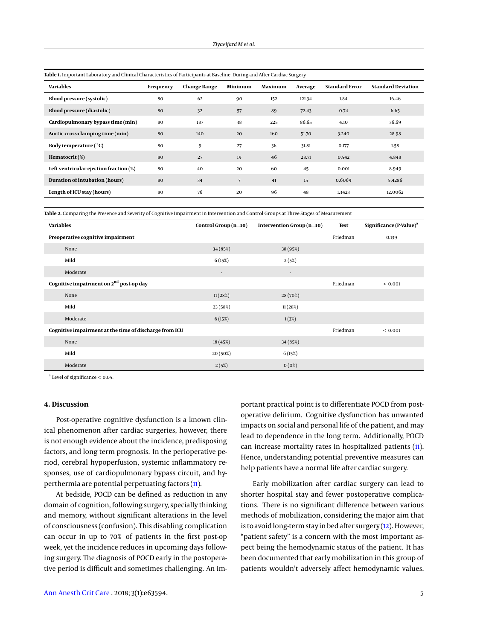| Table I. Milbortant Laboratory and Chincal Characteristics or Farticipants at Basenne, During and Alter Cardiac Surgery |           |                     |         |         |         |                       |                           |
|-------------------------------------------------------------------------------------------------------------------------|-----------|---------------------|---------|---------|---------|-----------------------|---------------------------|
| <b>Variables</b>                                                                                                        | Frequency | <b>Change Range</b> | Minimum | Maximum | Average | <b>Standard Error</b> | <b>Standard Deviation</b> |
| <b>Blood pressure (systolic)</b>                                                                                        | 80        | 62                  | 90      | 152     | 121.34  | 1.84                  | 16.46                     |
| Blood pressure (diastolic)                                                                                              | 80        | 32                  | 57      | 89      | 72.43   | 0.74                  | 6.65                      |
| Cardiopulmonary bypass time (min)                                                                                       | 80        | 187                 | 38      | 225     | 86.65   | 4.10                  | 36.69                     |
| Aortic cross-clamping time (min)                                                                                        | 80        | 140                 | 20      | 160     | 51.70   | 3.240                 | 28.98                     |
| Body temperature (°C)                                                                                                   | 80        | 9                   | 27      | 36      | 31.81   | 0.177                 | 1.58                      |
| Hematocrit(%)                                                                                                           | 80        | 27                  | 19      | 46      | 28.71   | 0.542                 | 4.848                     |
| Left ventricular ejection fraction (%)                                                                                  | 80        | 40                  | 20      | 60      | 45      | 0.001                 | 8.949                     |
| Duration of intubation (hours)                                                                                          | 80        | 34                  | 7       | 41      | 15      | 0.6069                | 5.4286                    |
| Length of ICU stay (hours)                                                                                              | 80        | 76                  | 20      | 96      | 48      | 1.3423                | 12.0062                   |

<span id="page-4-0"></span>**Table 1.** Important Laboratory and Clinical Characteristics of Participants at Baseline, During and After Cardiac Surgery

<span id="page-4-1"></span>**Table 2.** Comparing the Presence and Severity of Cognitive Impairment in Intervention and Control Groups at Three Stages of Measurement

| Variables                                              | Control Group (n=40) | Intervention Group (n=40) | <b>Test</b> | Significance $(P-Value)^a$ |
|--------------------------------------------------------|----------------------|---------------------------|-------------|----------------------------|
| Preoperative cognitive impairment                      |                      |                           | Friedman    | 0.139                      |
| None                                                   | 34 (85%)             | 38 (95%)                  |             |                            |
| Mild                                                   | 6(15%)               | 2(5%)                     |             |                            |
| Moderate                                               | $\sim$               | $\overline{\phantom{a}}$  |             |                            |
| Cognitive impairment on 2 <sup>nd</sup> post-op day    |                      |                           | Friedman    | ${}< 0.001$                |
| None                                                   | 11(28%)              | 28 (70%)                  |             |                            |
| Mild                                                   | 23 (58%)             | 11(28%)                   |             |                            |
| Moderate                                               | 6(15%)               | 1(3%)                     |             |                            |
| Cognitive impairment at the time of discharge from ICU |                      |                           | Friedman    | < 0.001                    |
| None                                                   | 18 (45%)             | 34 (85%)                  |             |                            |
| Mild                                                   | 20 (50%)             | 6(15%)                    |             |                            |
| Moderate                                               | 2(5%)                | 0(0%)                     |             |                            |

a Level of significance < 0.05.

## **4. Discussion**

Post-operative cognitive dysfunction is a known clinical phenomenon after cardiac surgeries, however, there is not enough evidence about the incidence, predisposing factors, and long term prognosis. In the perioperative period, cerebral hypoperfusion, systemic inflammatory responses, use of cardiopulmonary bypass circuit, and hyperthermia are potential perpetuating factors [\(11\)](#page-7-10).

At bedside, POCD can be defined as reduction in any domain of cognition, following surgery, specially thinking and memory, without significant alterations in the level of consciousness (confusion). This disabling complication can occur in up to 70% of patients in the first post-op week, yet the incidence reduces in upcoming days following surgery. The diagnosis of POCD early in the postoperative period is difficult and sometimes challenging. An important practical point is to differentiate POCD from postoperative delirium. Cognitive dysfunction has unwanted impacts on social and personal life of the patient, and may lead to dependence in the long term. Additionally, POCD can increase mortality rates in hospitalized patients [\(11\)](#page-7-10). Hence, understanding potential preventive measures can help patients have a normal life after cardiac surgery.

Early mobilization after cardiac surgery can lead to shorter hospital stay and fewer postoperative complications. There is no significant difference between various methods of mobilization, considering the major aim that is to avoid long-term stay in bed after surgery [\(12\)](#page-7-11). However, "patient safety" is a concern with the most important aspect being the hemodynamic status of the patient. It has been documented that early mobilization in this group of patients wouldn't adversely affect hemodynamic values.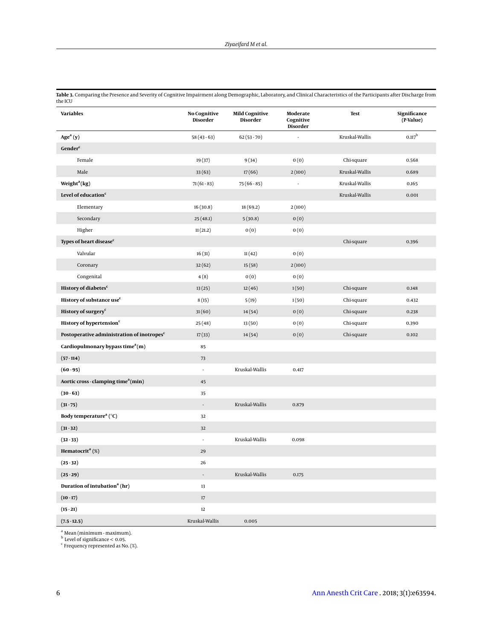<span id="page-5-0"></span>

| Table 3. Comparing the Presence and Severity of Cognitive Impairment along Demographic, Laboratory, and Clinical Characteristics of the Participants after Discharge from |  |
|---------------------------------------------------------------------------------------------------------------------------------------------------------------------------|--|
| the ICU                                                                                                                                                                   |  |

| <b>Variables</b>                                       | <b>No Cognitive</b><br>Disorder | <b>Mild Cognitive</b><br>Disorder | Moderate<br>Cognitive<br>Disorder | Test           | Significance<br>(P-Value) |
|--------------------------------------------------------|---------------------------------|-----------------------------------|-----------------------------------|----------------|---------------------------|
| Age <sup>a</sup> (y)                                   | $58(43-63)$                     | $62(53-70)$                       |                                   | Kruskal-Wallis | $0.117^{\rm b}$           |
| Gender <sup>c</sup>                                    |                                 |                                   |                                   |                |                           |
| Female                                                 | 19 (37)                         | 9(34)                             | 0(0)                              | Chi-square     | 0.568                     |
| Male                                                   | 33(63)                          | 17(66)                            | 2(100)                            | Kruskal-Wallis | 0.689                     |
| Weight <sup>a</sup> ( $kg$ )                           | $71(61-83)$                     | $75(66-85)$                       | ÷,                                | Kruskal-Wallis | 0.165                     |
| Level of education <sup>c</sup>                        |                                 |                                   |                                   | Kruskal-Wallis | 0.001                     |
| Elementary                                             | 16(30.8)                        | 18 (69.2)                         | 2(100)                            |                |                           |
| Secondary                                              | 25(48.1)                        | 5(30.8)                           | 0(0)                              |                |                           |
| Higher                                                 | 11(21.2)                        | 0(0)                              | 0(0)                              |                |                           |
| Types of heart disease <sup>c</sup>                    |                                 |                                   |                                   | Chi-square     | 0.396                     |
| Valvular                                               | 16(31)                          | 11(42)                            | 0(0)                              |                |                           |
| Coronary                                               | 32(62)                          | 15(58)                            | 2(100)                            |                |                           |
| Congenital                                             | 4(8)                            | 0(0)                              | 0(0)                              |                |                           |
| History of diabetes <sup>c</sup>                       | 13(25)                          | 12(46)                            | 1(50)                             | Chi-square     | 0.148                     |
| History of substance use <sup>c</sup>                  | 8(15)                           | 5(19)                             | 1(50)                             | Chi-square     | 0.432                     |
| History of surgery <sup>c</sup>                        | 31(60)                          | 14(54)                            | 0(0)                              | Chi-square     | 0.238                     |
| History of hypertension <sup>c</sup>                   | 25(48)                          | 13(50)                            | 0(0)                              | Chi-square     | 0.390                     |
| Postoperative administration of inotropes <sup>c</sup> | 17(33)                          | 14(54)                            | 0(0)                              | Chi-square     | 0.102                     |
| Cardiopulmonary bypass time $a(m)$                     | 85                              |                                   |                                   |                |                           |
| $(57 - 114)$                                           | 73                              |                                   |                                   |                |                           |
| $(60 - 95)$                                            | ÷,                              | Kruskal-Wallis                    | 0.417                             |                |                           |
| Aortic cross - clamping time <sup>a</sup> (min)        | 45                              |                                   |                                   |                |                           |
| $(30 - 63)$                                            | 35                              |                                   |                                   |                |                           |
| $(31 - 75)$                                            | ÷,                              | Kruskal-Wallis                    | 0.879                             |                |                           |
| Body temperature <sup>a</sup> (°C)                     | 32                              |                                   |                                   |                |                           |
| $(31 - 32)$                                            | 32                              |                                   |                                   |                |                           |
| $(32 - 33)$                                            | ä,                              | Kruskal-Wallis                    | 0.098                             |                |                           |
| Hematocrit <sup>a</sup> $(\%)$                         | 29                              |                                   |                                   |                |                           |
| $(25 - 32)$                                            | 26                              |                                   |                                   |                |                           |
| $(25-29)$                                              | $\overline{\phantom{a}}$        | Kruskal-Wallis                    | 0.175                             |                |                           |
| Duration of intubation <sup>a</sup> (hr)               | 13                              |                                   |                                   |                |                           |
| $(10 - 17)$                                            | 17                              |                                   |                                   |                |                           |
| $(15 - 21)$                                            | 12                              |                                   |                                   |                |                           |
| $(7.5 - 12.5)$                                         | Kruskal-Wallis                  | 0.005                             |                                   |                |                           |

<sup>a</sup> Mean (minimum - maximum).<br><sup>b</sup> Level of significance < 0.05.<br><sup>c</sup> Frequency represented as No. (%).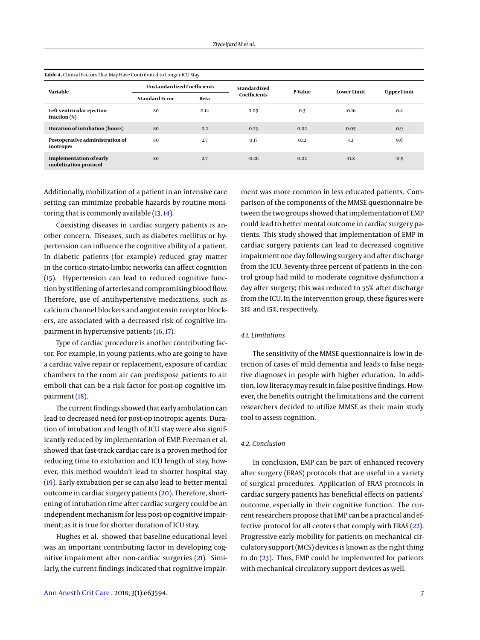<span id="page-6-0"></span>

| Table 4. Clinical Factors That May Have Contributed to Longer ICU Stay |                                    |      |              |         |                    |                    |  |
|------------------------------------------------------------------------|------------------------------------|------|--------------|---------|--------------------|--------------------|--|
| Variable                                                               | <b>Unstandardized Coefficients</b> |      | Standardized | P-Value | <b>Lower Limit</b> | <b>Upper Limit</b> |  |
|                                                                        | <b>Standard Error</b>              | Beta | Coefficients |         |                    |                    |  |
| Left ventricular ejection<br>fraction $(\%)$                           | 80                                 | 0.14 | 0.09         | 0.3     | $-0.16$            | 0.4                |  |
| Duration of intubation (hours)                                         | 80                                 | 0.2  | 0.23         | 0.02    | 0.05               | 0.9                |  |
| Postoperative administration of<br>inotropes                           | 80                                 | 2.7  | 0.17         | 0.12    | $-1.1$             | 9.6                |  |
| <b>Implementation of early</b><br>mobilization protocol                | 80                                 | 2.7  | $-0.26$      | 0.02    | $-11.8$            | $-0.9$             |  |

Additionally, mobilization of a patient in an intensive care setting can minimize probable hazards by routine monitoring that is commonly available  $(13, 14)$  $(13, 14)$  $(13, 14)$ .

Coexisting diseases in cardiac surgery patients is another concern. Diseases, such as diabetes mellitus or hypertension can influence the cognitive ability of a patient. In diabetic patients (for example) reduced gray matter in the cortico-striato-limbic networks can affect cognition [\(15\)](#page-7-14). Hypertension can lead to reduced cognitive function by stiffening of arteries and compromising blood flow. Therefore, use of antihypertensive medications, such as calcium channel blockers and angiotensin receptor blockers, are associated with a decreased risk of cognitive impairment in hypertensive patients [\(16,](#page-7-15) [17\)](#page-7-16).

Type of cardiac procedure is another contributing factor. For example, in young patients, who are going to have a cardiac valve repair or replacement, exposure of cardiac chambers to the room air can predispose patients to air emboli that can be a risk factor for post-op cognitive impairment [\(18\)](#page-7-17).

The current findings showed that early ambulation can lead to decreased need for post-op inotropic agents. Duration of intubation and length of ICU stay were also significantly reduced by implementation of EMP. Freeman et al. showed that fast-track cardiac care is a proven method for reducing time to extubation and ICU length of stay, however, this method wouldn't lead to shorter hospital stay [\(19\)](#page-7-18). Early extubation per se can also lead to better mental outcome in cardiac surgery patients [\(20\)](#page-7-19). Therefore, shortening of intubation time after cardiac surgery could be an independent mechanism for less post-op cognitive impairment; as it is true for shorter duration of ICU stay.

Hughes et al. showed that baseline educational level was an important contributing factor in developing cognitive impairment after non-cardiac surgeries [\(21\)](#page-7-20). Similarly, the current findings indicated that cognitive impairment was more common in less educated patients. Comparison of the components of the MMSE questionnaire between the two groups showed that implementation of EMP could lead to better mental outcome in cardiac surgery patients. This study showed that implementation of EMP in cardiac surgery patients can lead to decreased cognitive impairment one day following surgery and after discharge from the ICU. Seventy-three percent of patients in the control group had mild to moderate cognitive dysfunction a day after surgery; this was reduced to 55% after discharge from the ICU. In the intervention group, these figures were 31% and 15%, respectively.

## *4.1. Limitations*

The sensitivity of the MMSE questionnaire is low in detection of cases of mild dementia and leads to false negative diagnoses in people with higher education. In addition, low literacy may result in false positive findings. However, the benefits outright the limitations and the current researchers decided to utilize MMSE as their main study tool to assess cognition.

#### *4.2. Conclusion*

In conclusion, EMP can be part of enhanced recovery after surgery (ERAS) protocols that are useful in a variety of surgical procedures. Application of ERAS protocols in cardiac surgery patients has beneficial effects on patients' outcome, especially in their cognitive function. The current researchers propose that EMP can be a practical and effective protocol for all centers that comply with ERAS [\(22\)](#page-7-21). Progressive early mobility for patients on mechanical circulatory support (MCS) devices is known as the right thing to do [\(23\)](#page-7-22). Thus, EMP could be implemented for patients with mechanical circulatory support devices as well.